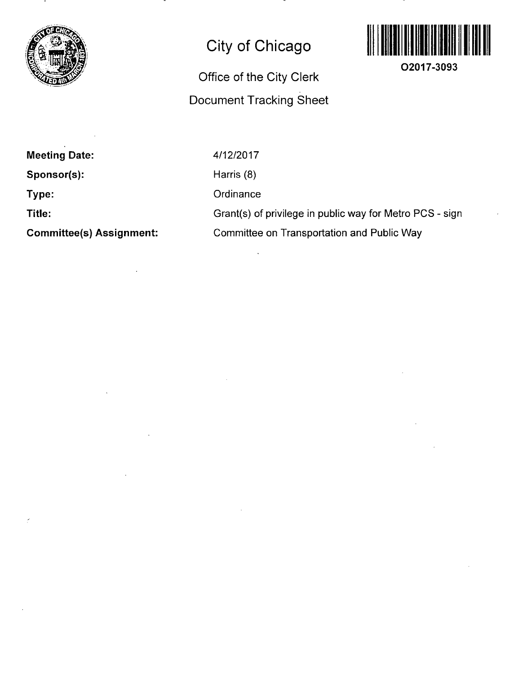

### **City of Chicago**

## Office of the City Clerk Document Tracking Sheet



**02017-3093** 

**Meeting Date: Sponsor(s): Type:** 

**Title:** 

**Committee(s) Assignment:** 

4/12/2017 Harris (8) **Ordinance** Grant(s) of privilege in public way for Metro PCS - sign

Committee on Transportation and Public Way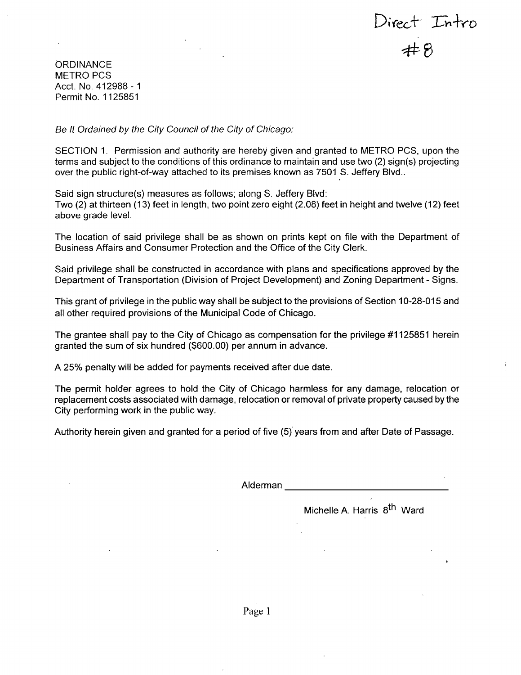Direct Intro<br>#8

**ORDINANCE** METRO PCS Acct. No. 412988 - 1 Permit No. 1125851

*Be It Ordained by the City Council of the City of Chicago:* 

SECTION 1. Permission and authority are hereby given and granted to METRO PCS, upon the terms and subject to the conditions of this ordinance to maintain and use two (2) sign(s) projecting over the public right-of-way attached to its premises known as 7501 S. Jeffery Blvd..

Said sign structure(s) measures as follows; along S. Jeffery Blvd:

Two (2) at thirteen (13) feet in length, two point zero eight (2.08) feet in height and twelve (12) feet above grade level.

The location of said privilege shall be as shown on prints kept on file with the Department of Business Affairs and Consumer Protection and the Office of the City Clerk.

Said privilege shall be constructed in accordance with plans and specifications approved by the Department of Transportation (Division of Project Development) and Zoning Department - Signs.

This grant of privilege in the public way shall be subject to the provisions of Section 10-28-015 and all other required provisions of the Municipal Code of Chicago.

The grantee shall pay to the City of Chicago as compensation for the privilege #1125851 herein granted the sum of six hundred (\$600.00) per annum in advance.

A 25% penalty will be added for payments received after due date.

The permit holder agrees to hold the City of Chicago harmless for any damage, relocation or replacement costs associated with damage, relocation or removal of private property caused by the City performing work in the public way.

Authority herein given and granted for a period of five (5) years from and after Date of Passage.

Alderman

Michelle A. Harris 8<sup>th</sup> Ward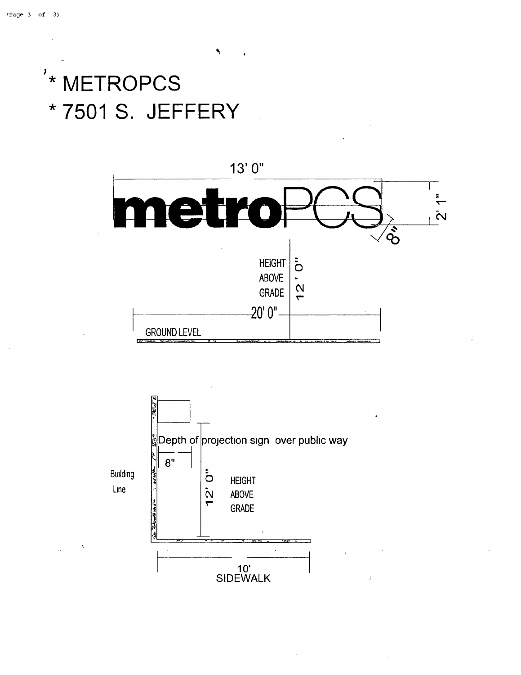# '\* METROPCS \* 7501 S. JEFFERY